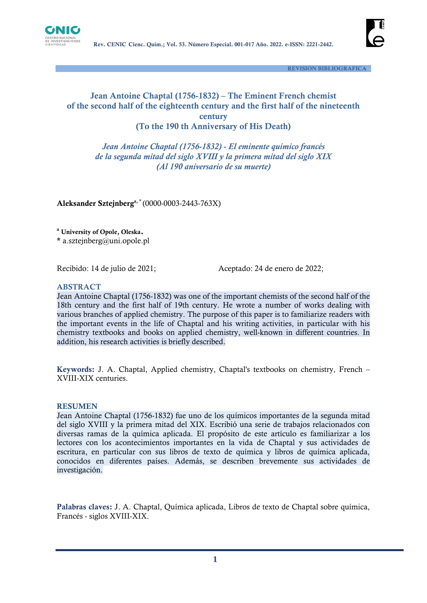



 **REVISION BIBLIOGRAFICA**

# **Jean Antoine Chaptal (1756-1832) – The Eminent French chemist of the second half of the eighteenth century and the first half of the nineteenth century (To the 190 th Anniversary of His Death)**

*Jean Antoine Chaptal (1756-1832) - El eminente químico francés de la segunda mitad del siglo XVIII y la primera mitad del siglo XIX (Al 190 aniversario de su muerte)*

**Aleksander Sztejnberga, \*** (0000-0003-2443-763X)

**<sup>a</sup> University of Opole, Oleska.**

**\*** a.sztejnberg@uni.opole.pl

Recibido: 14 de julio de 2021;<br>
Aceptado: 24 de enero de 2022;

#### **ABSTRACT**

Jean Antoine Chaptal (1756-1832) was one of the important chemists of the second half of the 18th century and the first half of 19th century. He wrote a number of works dealing with various branches of applied chemistry. The purpose of this paper is to familiarize readers with the important events in the life of Chaptal and his writing activities, in particular with his chemistry textbooks and books on applied chemistry, well-known in different countries. In addition, his research activities is briefly described.

**Keywords:** J. A. Chaptal, Applied chemistry, Chaptal's textbooks on chemistry, French – XVIII-XIX centuries.

#### **RESUMEN**

Jean Antoine Chaptal (1756-1832) fue uno de los químicos importantes de la segunda mitad del siglo XVIII y la primera mitad del XIX. Escribió una serie de trabajos relacionados con diversas ramas de la química aplicada. El propósito de este artículo es familiarizar a los lectores con los acontecimientos importantes en la vida de Chaptal y sus actividades de escritura, en particular con sus libros de texto de química y libros de química aplicada, conocidos en diferentes países. Además, se describen brevemente sus actividades de investigación.

**Palabras claves:** J. A. Chaptal, Química aplicada, Libros de texto de Chaptal sobre química, Francés - siglos XVIII-XIX.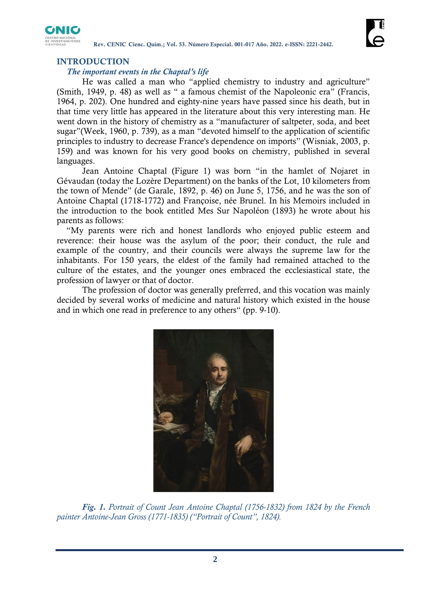

**Rev. CENIC Cienc. Quím.; Vol. 53. Número Especial. 001-017 Año. 2022. e-ISSN: 2221-2442.**

# **INTRODUCTION**

# *The important events in the Chaptal's life*

He was called a man who "applied chemistry to industry and agriculture" (Smith, 1949, p. 48) as well as " a famous chemist of the Napoleonic era" (Francis, 1964, p. 202). One hundred and eighty-nine years have passed since his death, but in that time very little has appeared in the literature about this very interesting man. He went down in the history of chemistry as a "manufacturer of saltpeter, soda, and beet sugar"(Week, 1960, p. 739), as a man "devoted himself to the application of scientific principles to industry to decrease France's dependence on imports" (Wisniak, 2003, p. 159) and was known for his very good books on chemistry, published in several languages.

Jean Antoine Chaptal (Figure 1) was born "in the hamlet of Nojaret in Gévaudan (today the Lozère Department) on the banks of the Lot, 10 kilometers from the town of Mende" (de Garale, 1892, p. 46) on June 5, 1756, and he was the son of Antoine Chaptal (1718-1772) and Françoise, née Brunel. In his Memoirs included in the introduction to the book entitled Mes Sur Napoléon (1893) he wrote about his parents as follows:

"My parents were rich and honest landlords who enjoyed public esteem and reverence: their house was the asylum of the poor; their conduct, the rule and example of the country, and their councils were always the supreme law for the inhabitants. For 150 years, the eldest of the family had remained attached to the culture of the estates, and the younger ones embraced the ecclesiastical state, the profession of lawyer or that of doctor.

The profession of doctor was generally preferred, and this vocation was mainly decided by several works of medicine and natural history which existed in the house and in which one read in preference to any others" (pp. 9-10).



*Fig. 1. Portrait of Count Jean Antoine Chaptal (1756-1832) from 1824 by the French painter Antoine-Jean Gross (1771-1835) ("Portrait of Count", 1824).*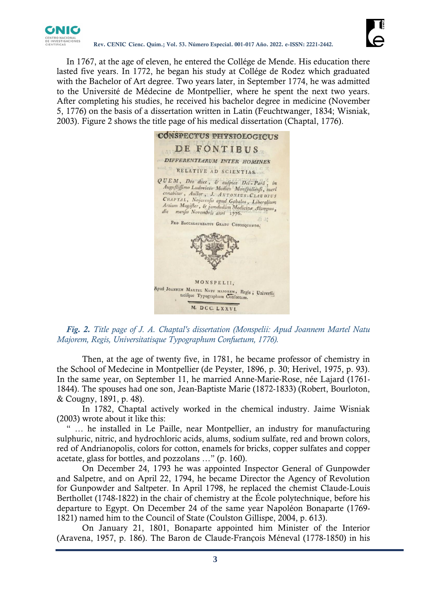

In 1767, at the age of eleven, he entered the Collége de Mende. His education there lasted five years. In 1772, he began his study at Collége de Rodez which graduated with the Bachelor of Art degree. Two years later, in September 1774, he was admitted to the Université de Médecine de Montpellier, where he spent the next two years. After completing his studies, he received his bachelor degree in medicine (November 5, 1776) on the basis of a dissertation written in Latin (Feuchtwanger, 1834; Wisniak, 2003). Figure 2 shows the title page of his medical dissertation (Chaptal, 1776).



*Fig. 2. Title page of J. A. Chaptal's dissertation (Monspelii: Apud Joannem Martel Natu Majorem, Regis, Universitatisque Typographum Confuetum, 1776).*

Then, at the age of twenty five, in 1781, he became professor of chemistry in the School of Medecine in Montpellier (de Peyster, 1896, p. 30; Herivel, 1975, p. 93). In the same year, on September 11, he married Anne-Marie-Rose, née Lajard (1761- 1844). The spouses had one son, Jean-Baptiste Marie (1872-1833) (Robert, Bourloton, & Cougny, 1891, p. 48).

In 1782, Chaptal actively worked in the chemical industry. Jaime Wisniak (2003) wrote about it like this:

" … he installed in Le Paille, near Montpellier, an industry for manufacturing sulphuric, nitric, and hydrochloric acids, alums, sodium sulfate, red and brown colors, red of Andrianopolis, colors for cotton, enamels for bricks, copper sulfates and copper acetate, glass for bottles, and pozzolans …" (p. 160).

On December 24, 1793 he was appointed Inspector General of Gunpowder and Salpetre, and on April 22, 1794, he became Director the Agency of Revolution for Gunpowder and Saltpeter. In April 1798, he replaced the chemist Claude-Louis Berthollet (1748-1822) in the chair of chemistry at the École polytechnique, before his departure to Egypt. On December 24 of the same year Napoléon Bonaparte (1769- 1821) named him to the Council of State (Coulston Gillispe, 2004, p. 613).

On January 21, 1801, Bonaparte appointed him Minister of the Interior (Aravena, 1957, p. 186). The Baron de Claude-François Méneval (1778-1850) in his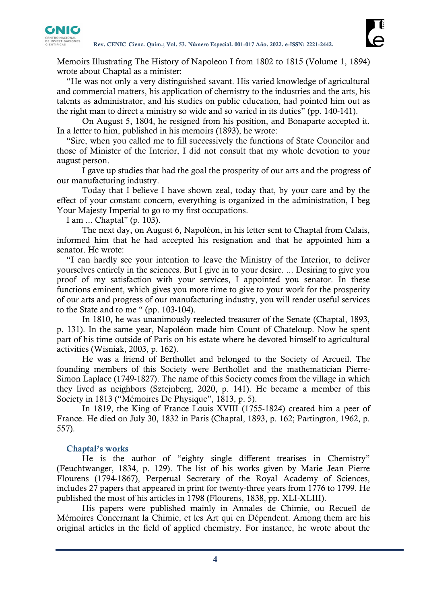

Memoirs Illustrating The History of Napoleon I from 1802 to 1815 (Volume 1, 1894) wrote about Chaptal as a minister:

"He was not only a very distinguished savant. His varied knowledge of agricultural and commercial matters, his application of chemistry to the industries and the arts, his talents as administrator, and his studies on public education, had pointed him out as the right man to direct a ministry so wide and so varied in its duties" (pp. 140-141).

On August 5, 1804, he resigned from his position, and Bonaparte accepted it. In a letter to him, published in his memoirs (1893), he wrote:

"Sire, when you called me to fill successively the functions of State Councilor and those of Minister of the Interior, I did not consult that my whole devotion to your august person.

I gave up studies that had the goal the prosperity of our arts and the progress of our manufacturing industry.

Today that I believe I have shown zeal, today that, by your care and by the effect of your constant concern, everything is organized in the administration, I beg Your Majesty Imperial to go to my first occupations.

I am ... Chaptal" (p. 103).

The next day, on August 6, Napoléon, in his letter sent to Chaptal from Calais, informed him that he had accepted his resignation and that he appointed him a senator. He wrote:

"I can hardly see your intention to leave the Ministry of the Interior, to deliver yourselves entirely in the sciences. But I give in to your desire. ... Desiring to give you proof of my satisfaction with your services, I appointed you senator. In these functions eminent, which gives you more time to give to your work for the prosperity of our arts and progress of our manufacturing industry, you will render useful services to the State and to me " (pp. 103-104).

In 1810, he was unanimously reelected treasurer of the Senate (Chaptal, 1893, p. 131). In the same year, Napoléon made him Count of Chateloup. Now he spent part of his time outside of Paris on his estate where he devoted himself to agricultural activities (Wisniak, 2003, p. 162).

He was a friend of Berthollet and belonged to the Society of Arcueil. The founding members of this Society were Berthollet and the mathematician Pierre-Simon Laplace (1749-1827). The name of this Society comes from the village in which they lived as neighbors (Sztejnberg, 2020, p. 141). He became a member of this Society in 1813 ("Mémoires De Physique", 1813, p. 5).

In 1819, the King of France Louis XVIII (1755-1824) created him a peer of France. He died on July 30, 1832 in Paris (Chaptal, 1893, p. 162; Partington, 1962, p. 557).

# **Chaptal's works**

He is the author of "eighty single different treatises in Chemistry" (Feuchtwanger, 1834, p. 129). The list of his works given by Marie Jean Pierre Flourens (1794-1867), Perpetual Secretary of the Royal Academy of Sciences, includes 27 papers that appeared in print for twenty-three years from 1776 to 1799. He published the most of his articles in 1798 (Flourens, 1838, pp. XLI-XLIII).

His papers were published mainly in Annales de Chimie, ou Recueil de Mémoires Concernant la Chimie, et les Art qui en Dépendent. Among them are his original articles in the field of applied chemistry. For instance, he wrote about the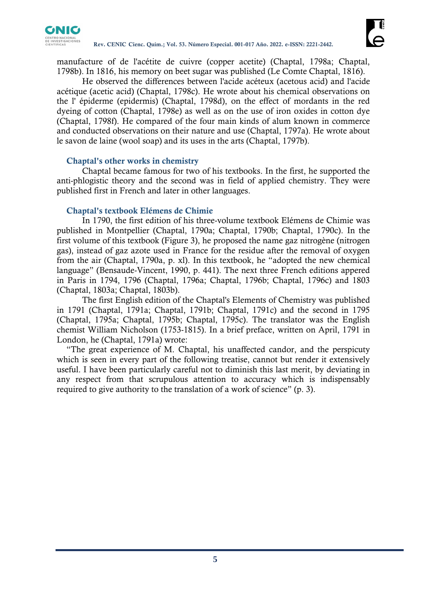

manufacture of de l'acétite de cuivre (copper acetite) (Chaptal, 1798a; Chaptal, 1798b). In 1816, his memory on beet sugar was published (Le Comte Chaptal, 1816).

He observed the differences between l'acide acéteux (acetous acid) and l'acide acétique (acetic acid) (Chaptal, 1798c). He wrote about his chemical observations on the l' épiderme (epidermis) (Chaptal, 1798d), on the effect of mordants in the red dyeing of cotton (Chaptal, 1798e) as well as on the use of iron oxides in cotton dye (Chaptal, 1798f). He compared of the four main kinds of alum known in commerce and conducted observations on their nature and use (Chaptal, 1797a). He wrote about le savon de laine (wool soap) and its uses in the arts (Chaptal, 1797b).

# **Chaptal's other works in chemistry**

Chaptal became famous for two of his textbooks. In the first, he supported the anti-phlogistic theory and the second was in field of applied chemistry. They were published first in French and later in other languages.

### **Chaptal's textbook Elémens de Chimie**

In 1790, the first edition of his three-volume textbook Elémens de Chimie was published in Montpellier (Chaptal, 1790a; Chaptal, 1790b; Chaptal, 1790c). In the first volume of this textbook (Figure 3), he proposed the name gaz nitrogène (nitrogen gas), instead of gaz azote used in France for the residue after the removal of oxygen from the air (Chaptal, 1790a, p. xl). In this textbook, he "adopted the new chemical language" (Bensaude-Vincent, 1990, p. 441). The next three French editions appered in Paris in 1794, 1796 (Chaptal, 1796a; Chaptal, 1796b; Chaptal, 1796c) and 1803 (Chaptal, 1803a; Chaptal, 1803b).

The first English edition of the Chaptal's Elements of Chemistry was published in 1791 (Chaptal, 1791a; Chaptal, 1791b; Chaptal, 1791c) and the second in 1795 (Chaptal, 1795a; Chaptal, 1795b; Chaptal, 1795c). The translator was the English chemist William Nicholson (1753-1815). In a brief preface, written on April, 1791 in London, he (Chaptal, 1791a) wrote:

"The great experience of M. Chaptal, his unaffected candor, and the perspicuty which is seen in every part of the following treatise, cannot but render it extensively useful. I have been particularly careful not to diminish this last merit, by deviating in any respect from that scrupulous attention to accuracy which is indispensably required to give authority to the translation of a work of science" (p. 3).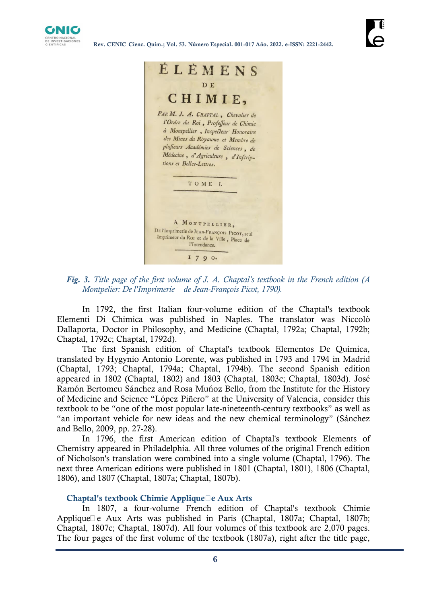

| ELEMENS<br>D E<br>CHIMIE,                                                                                                                                                                                                                                       |
|-----------------------------------------------------------------------------------------------------------------------------------------------------------------------------------------------------------------------------------------------------------------|
| PARM. J. A. CHAPTAL, Chevalier de<br>l'Ordre du Roi, Professeur de Chimie<br>à Montpellier, Inspecteur Honoraire<br>des Mines du Royaume et Membre de<br>plusieurs Académies de Sciences, de<br>Médecine, d'Agriculture, d'Infcrip-<br>tions et Belles-Lettres. |
| TOME I.                                                                                                                                                                                                                                                         |
| A MONTPELLIER,<br>DE l'Imprimerie de JEAN-FRANÇOIS PICOT, seul<br>Imprimeur du RoI et de la Ville, Place de<br>l'Intendance.<br>$I$ 7 9 0.                                                                                                                      |

*Fig. 3. Title page of the first volume of J. A. Chaptal's textbook in the French edition (A Montpelier: De l'Imprimerie de Jean-François Picot, 1790).*

In 1792, the first Italian four-volume edition of the Chaptal's textbook Elementi Di Chimica was published in Naples. The translator was Niccolò Dallaporta, Doctor in Philosophy, and Medicine (Chaptal, 1792a; Chaptal, 1792b; Chaptal, 1792c; Chaptal, 1792d).

The first Spanish edition of Chaptal's textbook Elementos De Química, translated by Hygynio Antonio Lorente, was published in 1793 and 1794 in Madrid (Chaptal, 1793; Chaptal, 1794a; Chaptal, 1794b). The second Spanish edition appeared in 1802 (Chaptal, 1802) and 1803 (Chaptal, 1803c; Chaptal, 1803d). José Ramón Bertomeu Sánchez and Rosa Muńoz Bello, from the Institute for the History of Medicine and Science "López Piñero" at the University of Valencia, consider this textbook to be "one of the most popular late-nineteenth-century textbooks" as well as "an important vehicle for new ideas and the new chemical terminology" (Sánchez and Bello, 2009, pp. 27-28).

In 1796, the first American edition of Chaptal's textbook Elements of Chemistry appeared in Philadelphia. All three volumes of the original French edition of Nicholson's translation were combined into a single volume (Chaptal, 1796). The next three American editions were published in 1801 (Chaptal, 1801), 1806 (Chaptal, 1806), and 1807 (Chaptal, 1807a; Chaptal, 1807b).

### **Chaptal's textbook Chimie Appliquée Aux Arts**

In 1807, a four-volume French edition of Chaptal's textbook Chimie Applique $\Box$  e Aux Arts was published in Paris (Chaptal, 1807a; Chaptal, 1807b; Chaptal, 1807c; Chaptal, 1807d). All four volumes of this textbook are 2,070 pages. The four pages of the first volume of the textbook (1807a), right after the title page,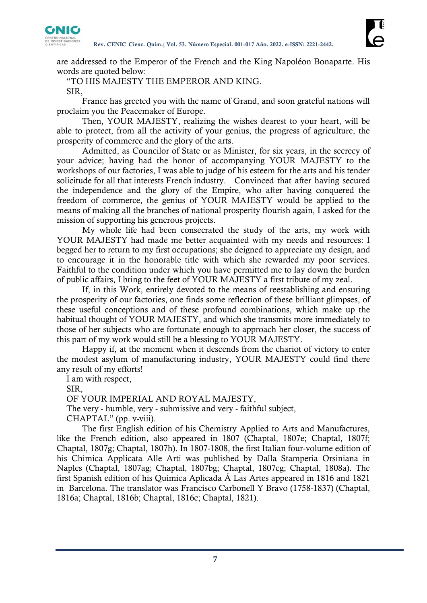

are addressed to the Emperor of the French and the King Napoléon Bonaparte. His words are quoted below:

"TO HIS MAJESTY THE EMPEROR AND KING. SIR,

France has greeted you with the name of Grand, and soon grateful nations will proclaim you the Peacemaker of Europe.

Then, YOUR MAJESTY, realizing the wishes dearest to your heart, will be able to protect, from all the activity of your genius, the progress of agriculture, the prosperity of commerce and the glory of the arts.

Admitted, as Councilor of State or as Minister, for six years, in the secrecy of your advice; having had the honor of accompanying YOUR MAJESTY to the workshops of our factories, I was able to judge of his esteem for the arts and his tender solicitude for all that interests French industry. Convinced that after having secured the independence and the glory of the Empire, who after having conquered the freedom of commerce, the genius of YOUR MAJESTY would be applied to the means of making all the branches of national prosperity flourish again, I asked for the mission of supporting his generous projects.

My whole life had been consecrated the study of the arts, my work with YOUR MAJESTY had made me better acquainted with my needs and resources: I begged her to return to my first occupations; she deigned to appreciate my design, and to encourage it in the honorable title with which she rewarded my poor services. Faithful to the condition under which you have permitted me to lay down the burden of public affairs, I bring to the feet of YOUR MAJESTY a first tribute of my zeal.

If, in this Work, entirely devoted to the means of reestablishing and ensuring the prosperity of our factories, one finds some reflection of these brilliant glimpses, of these useful conceptions and of these profound combinations, which make up the habitual thought of YOUR MAJESTY, and which she transmits more immediately to those of her subjects who are fortunate enough to approach her closer, the success of this part of my work would still be a blessing to YOUR MAJESTY.

Happy if, at the moment when it descends from the chariot of victory to enter the modest asylum of manufacturing industry, YOUR MAJESTY could find there any result of my efforts!

I am with respect,

SIR,

OF YOUR IMPERIAL AND ROYAL MAJESTY,

The very - humble, very - submissive and very - faithful subject,

CHAPTAL" (pp. v-viii).

The first English edition of his Chemistry Applied to Arts and Manufactures, like the French edition, also appeared in 1807 (Chaptal, 1807e; Chaptal, 1807f; Chaptal, 1807g; Chaptal, 1807h). In 1807-1808, the first Italian four-volume edition of his Chimica Applicata Alle Arti was published by Dalla Stamperia Orsiniana in Naples (Chaptal, 1807ag; Chaptal, 1807bg; Chaptal, 1807cg; Chaptal, 1808a). The first Spanish edition of his Química Aplicada Á Las Artes appeared in 1816 and 1821 in Barcelona. The translator was Francisco Carbonell Y Bravo (1758-1837) (Chaptal, 1816a; Chaptal, 1816b; Chaptal, 1816c; Chaptal, 1821).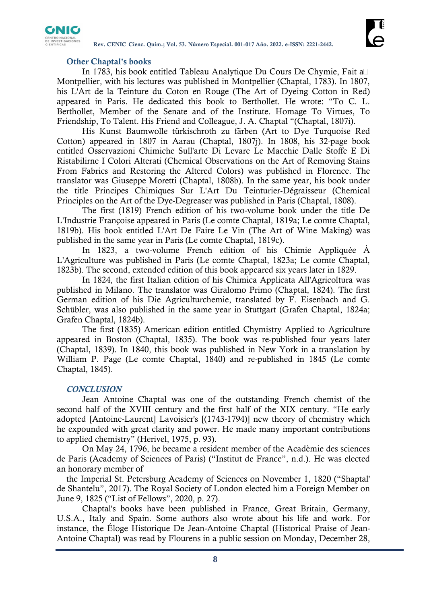

# **Other Chaptal's books**

In 1783, his book entitled Tableau Analytique Du Cours De Chymie, Fait á Montpellier, with his lectures was published in Montpellier (Chaptal, 1783). In 1807, his L'Art de la Teinture du Coton en Rouge (The Art of Dyeing Cotton in Red) appeared in Paris. He dedicated this book to Berthollet. He wrote: "To C. L. Berthollet, Member of the Senate and of the Institute. Homage To Virtues, To Friendship, To Talent. His Friend and Colleague, J. A. Chaptal "(Chaptal, 1807i).

His Kunst Baumwolle türkischroth zu färben (Art to Dye Turquoise Red Cotton) appeared in 1807 in Aarau (Chaptal, 1807j). In 1808, his 32-page book entitled Osservazioni Chimiche Sull'arte Di Levare Le Macchie Dalle Stoffe E Di Ristabilirne I Colori Alterati (Chemical Observations on the Art of Removing Stains From Fabrics and Restoring the Altered Colors) was published in Florence. The translator was Giuseppe Moretti (Chaptal, 1808b). In the same year, his book under the title Principes Chimiques Sur L'Art Du Teinturier-Dégraisseur (Chemical Principles on the Art of the Dye-Degreaser was published in Paris (Chaptal, 1808).

The first (1819) French edition of his two-volume book under the title De L'Industrie Françoise appeared in Paris (Le comte Chaptal, 1819a; Le comte Chaptal, 1819b). His book entitled L'Art De Faire Le Vin (The Art of Wine Making) was published in the same year in Paris (Le comte Chaptal, 1819c).

In 1823, a two-volume French edition of his Chimie Appliquée À L'Agriculture was published in Paris (Le comte Chaptal, 1823a; Le comte Chaptal, 1823b). The second, extended edition of this book appeared six years later in 1829.

In 1824, the first Italian edition of his Chimica Applicata All'Agricoltura was published in Milano. The translator was Giralomo Primo (Chaptal, 1824). The first German edition of his Die Agriculturchemie, translated by F. Eisenbach and G. Schübler, was also published in the same year in Stuttgart (Grafen Chaptal, 1824a; Grafen Chaptal, 1824b).

The first (1835) American edition entitled Chymistry Applied to Agriculture appeared in Boston (Chaptal, 1835). The book was re-published four years later (Chaptal, 1839). In 1840, this book was published in New York in a translation by William P. Page (Le comte Chaptal, 1840) and re-published in 1845 (Le comte Chaptal, 1845).

### *CONCLUSION*

Jean Antoine Chaptal was one of the outstanding French chemist of the second half of the XVIII century and the first half of the XIX century. "He early adopted [Antoine-Laurent] Lavoisier's [(1743-1794)] new theory of chemistry which he expounded with great clarity and power. He made many important contributions to applied chemistry" (Herivel, 1975, p. 93).

On May 24, 1796, he became a resident member of the Acadèmie des sciences de Paris (Academy of Sciences of Paris) ("Institut de France", n.d.). He was elected an honorary member of

the Imperial St. Petersburg Academy of Sciences on November 1, 1820 ("Shaptal' de Shantelu", 2017). The Royal Society of London elected him a Foreign Member on June 9, 1825 ("List of Fellows", 2020, p. 27).

Chaptal's books have been published in France, Great Britain, Germany, U.S.A., Italy and Spain. Some authors also wrote about his life and work. For instance, the Éloge Historique De Jean-Antoine Chaptal (Historical Praise of Jean-Antoine Chaptal) was read by Flourens in a public session on Monday, December 28,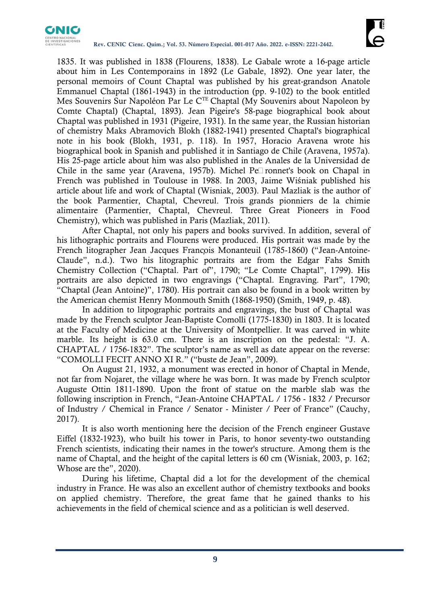

1835. It was published in 1838 (Flourens, 1838). Le Gabale wrote a 16-page article about him in Les Contemporains in 1892 (Le Gabale, 1892). One year later, the personal memoirs of Count Chaptal was published by his great-grandson Anatole Emmanuel Chaptal (1861-1943) in the introduction (pp. 9-102) to the book entitled Mes Souvenirs Sur Napoléon Par Le C<sup>TE</sup> Chaptal (My Souvenirs about Napoleon by Comte Chaptal) (Chaptal, 1893). Jean Pigeire's 58-page biographical book about Chaptal was published in 1931 (Pigeire, 1931). In the same year, the Russian historian of chemistry Maks Abramovich Blokh (1882-1941) presented Chaptal's biographical note in his book (Blokh, 1931, p. 118). In 1957, Horacio Aravena wrote his biographical book in Spanish and published it in Santiago de Chile (Aravena, 1957a). His 25-page article about him was also published in the Anales de la Universidad de Chile in the same year (Aravena, 1957b). Michel Pe $\square$  ronnet's book on Chapal in French was published in Toulouse in 1988. In 2003, Jaime Wiśniak published his article about life and work of Chaptal (Wisniak, 2003). Paul Mazliak is the author of the book Parmentier, Chaptal, Chevreul. Trois grands pionniers de la chimie alimentaire (Parmentier, Chaptal, Chevreul. Three Great Pioneers in Food Chemistry), which was published in Paris (Mazliak, 2011).

After Chaptal, not only his papers and books survived. In addition, several of his lithographic portraits and Flourens were produced. His portrait was made by the French litographer Jean Jacques François Monanteuil (1785-1860) ("Jean-Antoine-Claude", n.d.). Two his litographic portraits are from the Edgar Fahs Smith Chemistry Collection ("Chaptal. Part of", 1790; "Le Comte Chaptal", 1799). His portraits are also depicted in two engravings ("Chaptal. Engraving. Part", 1790; "Chaptal (Jean Antoine)", 1780). His portrait can also be found in a book written by the American chemist Henry Monmouth Smith (1868-1950) (Smith, 1949, p. 48).

In addition to litpographic portraits and engravings, the bust of Chaptal was made by the French sculptor Jean-Baptiste Comolli (1775-1830) in 1803. It is located at the Faculty of Medicine at the University of Montpellier. It was carved in white marble. Its height is 63.0 cm. There is an inscription on the pedestal: "J. A. CHAPTAL / 1756-1832". The sculptor's name as well as date appear on the reverse: "COMOLLI FECIT ANNO XI R." ("buste de Jean", 2009).

On August 21, 1932, a monument was erected in honor of Chaptal in Mende, not far from Nojaret, the village where he was born. It was made by French sculptor Auguste Ottin 1811-1890. Upon the front of statue on the marble slab was the following inscription in French, "Jean-Antoine CHAPTAL / 1756 - 1832 / Precursor of Industry / Chemical in France / Senator - Minister / Peer of France" (Cauchy, 2017).

It is also worth mentioning here the decision of the French engineer Gustave Eiffel (1832-1923), who built his tower in Paris, to honor seventy-two outstanding French scientists, indicating their names in the tower's structure. Among them is the name of Chaptal, and the height of the capital letters is 60 cm (Wisniak, 2003, p. 162; Whose are the", 2020).

During his lifetime, Chaptal did a lot for the development of the chemical industry in France. He was also an excellent author of chemistry textbooks and books on applied chemistry. Therefore, the great fame that he gained thanks to his achievements in the field of chemical science and as a politician is well deserved.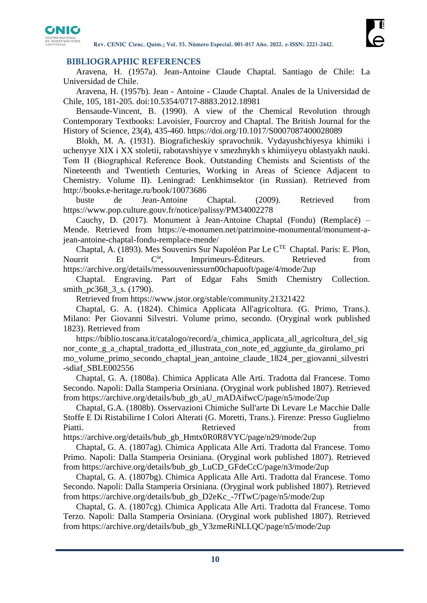

# **BIBLIOGRAPHIC REFERENCES**

Aravena, H. (1957a). Jean-Antoine Claude Chaptal. Santiago de Chile: La Universidad de Chile.

Aravena, H. (1957b). Jean - Antoine - Claude Chaptal. Anales de la Universidad de Chile, 105, 181-205. doi:10.5354/0717-8883.2012.18981

Bensaude-Vincent, B. (1990). A view of the Chemical Revolution through Contemporary Textbooks: Lavoisier, Fourcroy and Chaptal. The British Journal for the History of Science, 23(4), 435-460.<https://doi.org/10.1017/S0007087400028089>

Blokh, M. A. (1931). Biograficheskiy spravochnik. Vydayushchiyesya khimiki i uchenyye XIX i XX stoletii, rabotavshiyye v smezhnykh s khimiiyeyu oblastyakh nauki. Тom II (Biographical Reference Book. Outstanding Chemists and Scientists of the Nineteenth and Twentieth Centuries, Working in Areas of Science Adjacent to Chemistry. Volume II). Leningrad: Lenkhimsektor (in Russian). Retrieved from <http://books.e-heritage.ru/book/10073686>

buste de Jean-Antoine Chaptal. (2009). Retrieved from <https://www.pop.culture.gouv.fr/notice/palissy/PM34002278>

Cauchy, D. (2017). Monument à Jean-Antoine Chaptal (Fondu) (Remplacé) – Mende. Retrieved from [https://e-monumen.net/patrimoine-monumental/monument-a](https://e-monumen.net/patrimoine-monumental/monument-a-jean-antoine-chaptal-fondu-remplace-mende/)[jean-antoine-chaptal-fondu-remplace-mende/](https://e-monumen.net/patrimoine-monumental/monument-a-jean-antoine-chaptal-fondu-remplace-mende/)

Chaptal, A. (1893). Mes Souvenirs Sur Napoléon Par Le CTE Chaptal. Paris: E. Plon, Nourrit Et Cie, Imprimeurs-Éditeurs. Retrieved from <https://archive.org/details/messouvenirssurn00chapuoft/page/4/mode/2up>

Chaptal. Engraving. Part of Edgar Fahs Smith Chemistry Collection. smith\_pc368\_3\_s. (1790).

Retrieved from<https://www.jstor.org/stable/community.21321422>

Chaptal, G. A. (1824). Chimica Applicata All'agricoltura. (G. Primo, Trans.). Milano: Per Giovanni Silvestri. Volume primo, secondo. (Oryginal work published 1823). Retrieved from

[https://biblio.toscana.it/catalogo/record/a\\_chimica\\_applicata\\_all\\_agricoltura\\_del\\_sig](https://biblio.toscana.it/catalogo/record/a_chimica_applicata_all_agricoltura_del_signor_conte_g_a_chaptal_tradotta_ed_illustrata_con_note_ed_aggiunte_da_girolamo_primo_volume_primo_secondo_chaptal_jean_antoine_claude_1824_per_giovanni_silvestri-sdiaf_SBLE002556) [nor\\_conte\\_g\\_a\\_chaptal\\_tradotta\\_ed\\_illustrata\\_con\\_note\\_ed\\_aggiunte\\_da\\_girolamo\\_pri](https://biblio.toscana.it/catalogo/record/a_chimica_applicata_all_agricoltura_del_signor_conte_g_a_chaptal_tradotta_ed_illustrata_con_note_ed_aggiunte_da_girolamo_primo_volume_primo_secondo_chaptal_jean_antoine_claude_1824_per_giovanni_silvestri-sdiaf_SBLE002556) [mo\\_volume\\_primo\\_secondo\\_chaptal\\_jean\\_antoine\\_claude\\_1824\\_per\\_giovanni\\_silvestri](https://biblio.toscana.it/catalogo/record/a_chimica_applicata_all_agricoltura_del_signor_conte_g_a_chaptal_tradotta_ed_illustrata_con_note_ed_aggiunte_da_girolamo_primo_volume_primo_secondo_chaptal_jean_antoine_claude_1824_per_giovanni_silvestri-sdiaf_SBLE002556) [-sdiaf\\_SBLE002556](https://biblio.toscana.it/catalogo/record/a_chimica_applicata_all_agricoltura_del_signor_conte_g_a_chaptal_tradotta_ed_illustrata_con_note_ed_aggiunte_da_girolamo_primo_volume_primo_secondo_chaptal_jean_antoine_claude_1824_per_giovanni_silvestri-sdiaf_SBLE002556)

Chaptal, G. A. (1808a). Chimica Applicata Alle Arti. Tradotta dal Francese. Tomo Secondo. Napoli: Dalla Stamperia Orsiniana. (Oryginal work published 1807). Retrieved from [https://archive.org/details/bub\\_gb\\_aU\\_mADAifwcC/page/n5/mode/2up](https://archive.org/details/bub_gb_aU_mADAifwcC/page/n5/mode/2up)

Chaptal, G.A. (1808b). Osservazioni Chimiche Sull'arte Di Levare Le Macchie Dalle Stoffe E Di Ristabilirne I Colori Alterati (G. Moretti, Trans.). Firenze: Presso Guglielmo Piatti. Contract a Retrieved contract a from the Retrieved from the set of  $\mathbb{R}$ 

[https://archive.org/details/bub\\_gb\\_Hmtx0R0R8VYC/page/n29/mode/2up](https://archive.org/details/bub_gb_Hmtx0R0R8VYC/page/n29/mode/2up)

Chaptal, G. A. (1807ag). Chimica Applicata Alle Arti. Tradotta dal Francese. Tomo Primo. Napoli: Dalla Stamperia Orsiniana. (Oryginal work published 1807). Retrieved from [https://archive.org/details/bub\\_gb\\_LuCD\\_GFdeCcC/page/n3/mode/2up](https://archive.org/details/bub_gb_LuCD_GFdeCcC/page/n3/mode/2up)

Chaptal, G. A. (1807bg). Chimica Applicata Alle Arti. Tradotta dal Francese. Tomo Secondo. Napoli: Dalla Stamperia Orsiniana. (Oryginal work published 1807). Retrieved from [https://archive.org/details/bub\\_gb\\_D2eKc\\_-7fTwC/page/n5/mode/2up](https://archive.org/details/bub_gb_D2eKc_-7fTwC/page/n5/mode/2up)

Chaptal, G. A. (1807cg). Chimica Applicata Alle Arti. Tradotta dal Francese. Tomo Terzo. Napoli: Dalla Stamperia Orsiniana. (Oryginal work published 1807). Retrieved from [https://archive.org/details/bub\\_gb\\_Y3zmeRiNLLQC/page/n5/mode/2up](https://archive.org/details/bub_gb_Y3zmeRiNLLQC/page/n5/mode/2up)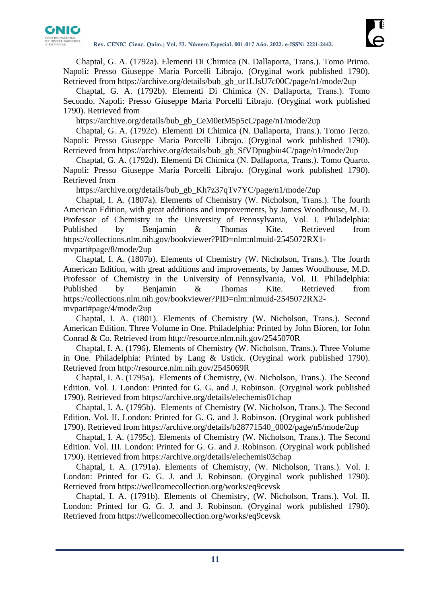

Chaptal, G. A. (1792a). Elementi Di Chimica (N. Dallaporta, Trans.). Tomo Primo. Napoli: Presso Giuseppe Maria Porcelli Librajo. (Oryginal work published 1790). Retrieved from [https://archive.org/details/bub\\_gb\\_ur1LJsU7c00C/page/n1/mode/2up](https://archive.org/details/bub_gb_ur1LJsU7c00C/page/n1/mode/2up)

Chaptal, G. A. (1792b). Elementi Di Chimica (N. Dallaporta, Trans.). Tomo Secondo. Napoli: Presso Giuseppe Maria Porcelli Librajo. (Oryginal work published 1790). Retrieved from

[https://archive.org/details/bub\\_gb\\_CeM0etM5p5cC/page/n1/mode/2up](https://archive.org/details/bub_gb_CeM0etM5p5cC/page/n1/mode/2up)

Chaptal, G. A. (1792c). Elementi Di Chimica (N. Dallaporta, Trans.). Tomo Terzo. Napoli: Presso Giuseppe Maria Porcelli Librajo. (Oryginal work published 1790). Retrieved from [https://archive.org/details/bub\\_gb\\_SfVDpugbiu4C/page/n1/mode/2up](https://archive.org/details/bub_gb_SfVDpugbiu4C/page/n1/mode/2up)

Chaptal, G. A. (1792d). Elementi Di Chimica (N. Dallaporta, Trans.). Tomo Quarto. Napoli: Presso Giuseppe Maria Porcelli Librajo. (Oryginal work published 1790). Retrieved from

[https://archive.org/details/bub\\_gb\\_Kh7z37qTv7YC/page/n1/mode/2up](https://archive.org/details/bub_gb_Kh7z37qTv7YC/page/n1/mode/2up)

Chaptal, I. A. (1807a). Elements of Chemistry (W. Nicholson, Trans.). The fourth American Edition, with great additions and improvements, by James Woodhouse, M. D. Professor of Chemistry in the University of Pennsylvania, Vol. I. Philadelphia: Published by Benjamin & Thomas Kite. Retrieved from [https://collections.nlm.nih.gov/bookviewer?PID=nlm:nlmuid-2545072RX1](https://collections.nlm.nih.gov/bookviewer?PID=nlm:nlmuid-2545072RX1-mvpart#page/8/mode/2up) [mvpart#page/8/mode/2up](https://collections.nlm.nih.gov/bookviewer?PID=nlm:nlmuid-2545072RX1-mvpart#page/8/mode/2up)

Chaptal, I. A. (1807b). Elements of Chemistry (W. Nicholson, Trans.). The fourth American Edition, with great additions and improvements, by James Woodhouse, M.D. Professor of Chemistry in the University of Pennsylvania, Vol. II. Philadelphia: Published by Benjamin & Thomas Kite. Retrieved from [https://collections.nlm.nih.gov/bookviewer?PID=nlm:nlmuid-2545072RX2](https://collections.nlm.nih.gov/bookviewer?PID=nlm:nlmuid-2545072RX2-mvpart#page/4/mode/2up) [mvpart#page/4/mode/2up](https://collections.nlm.nih.gov/bookviewer?PID=nlm:nlmuid-2545072RX2-mvpart#page/4/mode/2up)

Chaptal, I. A. (1801). Elements of Chemistry (W. Nicholson, Trans.). Second American Edition. Three Volume in One. Philadelphia: Printed by John Bioren, for John Conrad & Co. Retrieved from<http://resource.nlm.nih.gov/2545070R>

Chaptal, I. A. (1796). Elements of Chemistry (W. Nicholson, Trans.). Three Volume in One. Philadelphia: Printed by Lang & Ustick. (Oryginal work published 1790). Retrieved from<http://resource.nlm.nih.gov/2545069R>

Chaptal, I. A. (1795a). Elements of Chemistry, (W. Nicholson, Trans.). The Second Edition. Vol. I. London: Printed for G. G. and J. Robinson. (Oryginal work published 1790). Retrieved from<https://archive.org/details/elechemis01chap>

Chaptal, I. A. (1795b). Elements of Chemistry (W. Nicholson, Trans.). The Second Edition. Vol. II. London: Printed for G. G. and J. Robinson. (Oryginal work published 1790). Retrieved from [https://archive.org/details/b28771540\\_0002/page/n5/mode/2up](https://archive.org/details/b28771540_0002/page/n5/mode/2up)

Chaptal, I. A. (1795c). Elements of Chemistry (W. Nicholson, Trans.). The Second Edition. Vol. III. London: Printed for G. G. and J. Robinson. (Oryginal work published 1790). Retrieved from<https://archive.org/details/elechemis03chap>

Chaptal, I. A. (1791a). Elements of Chemistry, (W. Nicholson, Trans.). Vol. I. London: Printed for G. G. J. and J. Robinson. (Oryginal work published 1790). Retrieved from<https://wellcomecollection.org/works/eq9cevsk>

Chaptal, I. A. (1791b). Elements of Chemistry, (W. Nicholson, Trans.). Vol. II. London: Printed for G. G. J. and J. Robinson. (Oryginal work published 1790). Retrieved from<https://wellcomecollection.org/works/eq9cevsk>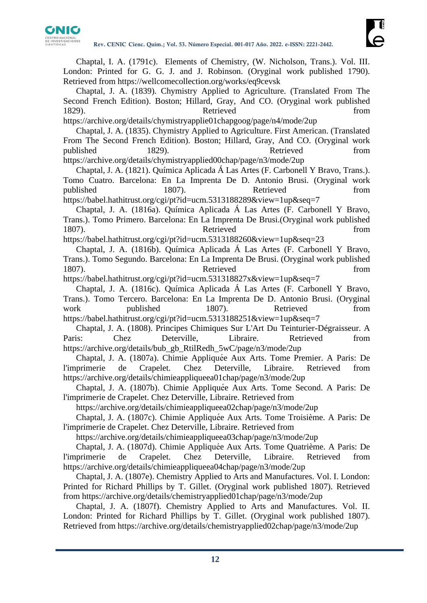

Chaptal, I. A. (1791c). Elements of Chemistry, (W. Nicholson, Trans.). Vol. III. London: Printed for G. G. J. and J. Robinson. (Oryginal work published 1790). Retrieved from<https://wellcomecollection.org/works/eq9cevsk>

Chaptal, J. A. (1839). Chymistry Applied to Agriculture. (Translated From The Second French Edition). Boston; Hillard, Gray, And CO. (Oryginal work published 1829). Retrieved from

<https://archive.org/details/chymistryapplie01chapgoog/page/n4/mode/2up>

Chaptal, J. A. (1835). Chymistry Applied to Agriculture. First American. (Translated From The Second French Edition). Boston; Hillard, Gray, And CO. (Oryginal work published 1829). Retrieved from <https://archive.org/details/chymistryapplied00chap/page/n3/mode/2up>

Chaptal, J. A. (1821). Química Aplicada Á Las Artes (F. Carbonell Y Bravo, Trans.). Tomo Cuatro. Barcelona: En La Imprenta De D. Antonio Brusi. (Oryginal work published 1807). Retrieved from <https://babel.hathitrust.org/cgi/pt?id=ucm.5313188289&view=1up&seq=7>

Chaptal, J. A. (1816a). Química Aplicada Á Las Artes (F. Carbonell Y Bravo, Trans.). Tomo Primero. Barcelona: En La Imprenta De Brusi.(Oryginal work published 1807). Retrieved from

<https://babel.hathitrust.org/cgi/pt?id=ucm.5313188260&view=1up&seq=23>

Chaptal, J. A. (1816b). Química Aplicada Á Las Artes (F. Carbonell Y Bravo, Trans.). Tomo Segundo. Barcelona: En La Imprenta De Brusi. (Oryginal work published 1807). Retrieved from

<https://babel.hathitrust.org/cgi/pt?id=ucm.531318827x&view=1up&seq=7>

Chaptal, J. A. (1816c). Química Aplicada Á Las Artes (F. Carbonell Y Bravo, Trans.). Tomo Tercero. Barcelona: En La Imprenta De D. Antonio Brusi. (Oryginal work published 1807). Retrieved from <https://babel.hathitrust.org/cgi/pt?id=ucm.5313188251&view=1up&seq=7>

Chaptal, J. A. (1808). Principes Chimiques Sur L'Art Du Teinturier-Dégraisseur. A Paris: Chez Deterville, Libraire. Retrieved from [https://archive.org/details/bub\\_gb\\_RtilRedh\\_5wC/page/n3/mode/2up](https://archive.org/details/bub_gb_RtilRedh_5wC/page/n3/mode/2up)

Chaptal, J. A. (1807a). Chimie Appliquée Aux Arts. Tome Premier. A Paris: De l'imprimerie de Crapelet. Chez Deterville, Libraire. Retrieved from <https://archive.org/details/chimieappliqueea01chap/page/n3/mode/2up>

Chaptal, J. A. (1807b). Chimie Appliquée Aux Arts. Tome Second. A Paris: De l'imprimerie de Crapelet. Chez Deterville, Libraire. Retrieved from

https://archive.org/details/chimieappliqueea02chap/page/n3/mode/2up

Chaptal, J. A. (1807c). Chimie Appliquée Aux Arts. Tome Troisième. A Paris: De l'imprimerie de Crapelet. Chez Deterville, Libraire. Retrieved from

https://archive.org/details/chimieappliqueea03chap/page/n3/mode/2up

Chaptal, J. A. (1807d). Chimie Appliquée Aux Arts. Tome Quatrième. A Paris: De l'imprimerie de Crapelet. Chez Deterville, Libraire. Retrieved from https://archive.org/details/chimieappliqueea04chap/page/n3/mode/2up

Chaptal, J. A. (1807e). Chemistry Applied to Arts and Manufactures. Vol. I. London: Printed for Richard Phillips by T. Gillet. (Oryginal work published 1807). Retrieved from<https://archive.org/details/chemistryapplied01chap/page/n3/mode/2up>

Chaptal, J. A. (1807f). Chemistry Applied to Arts and Manufactures. Vol. II. London: Printed for Richard Phillips by T. Gillet. (Oryginal work published 1807). Retrieved from<https://archive.org/details/chemistryapplied02chap/page/n3/mode/2up>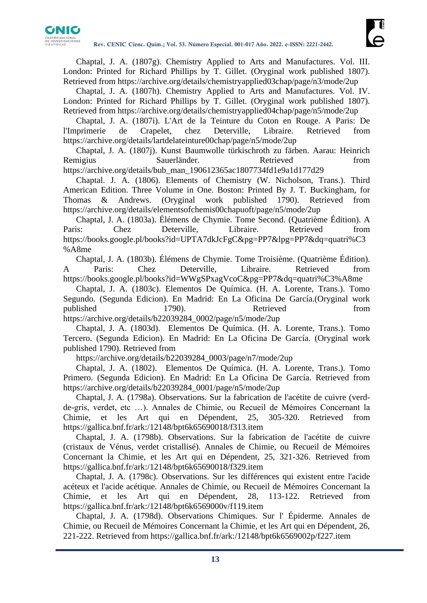

Chaptal, J. A. (1807g). Chemistry Applied to Arts and Manufactures. Vol. III. London: Printed for Richard Phillips by T. Gillet. (Oryginal work published 1807). Retrieved from<https://archive.org/details/chemistryapplied03chap/page/n3/mode/2up>

Chaptal, J. A. (1807h). Chemistry Applied to Arts and Manufactures. Vol. IV. London: Printed for Richard Phillips by T. Gillet. (Oryginal work published 1807). Retrieved from<https://archive.org/details/chemistryapplied04chap/page/n5/mode/2up>

Chaptal, J. A. (1807i). L'Art de la Teinture du Coton en Rouge. A Paris: De l'Imprimerie de Crapelet, chez Deterville, Libraire. Retrieved from <https://archive.org/details/lartdelateinture00chap/page/n5/mode/2up>

Chaptal, J. A. (1807j). Kunst Baumwolle türkischroth zu färben. Aarau: Heinrich Remigius Sauerländer. Retrieved from [https://archive.org/details/bub\\_man\\_190612365ac1807734fd1e9a1d177d29](https://archive.org/details/bub_man_190612365ac1807734fd1e9a1d177d29)

Chaptal. J. A. (1806). Elements of Chemistry (W. Nicholson, Trans.). Third American Edition. Three Volume in One. Boston: Printed By J. T. Buckingham, for Thomas & Andrews. (Oryginal work published 1790). Retrieved from <https://archive.org/details/elementsofchemis00chapuoft/page/n5/mode/2up>

Chaptal, J. A. (1803a). Élémens de Chymie. Tome Second. (Quatrième Édition). A Paris: Chez Deterville, Libraire. Retrieved from [https://books.google.pl/books?id=UPTA7dkJcFgC&pg=PP7&lpg=PP7&dq=quatri%C3](https://books.google.pl/books?id=UPTA7dkJcFgC&pg=PP7&lpg=PP7&dq=quatrième+édition) [%A8me](https://books.google.pl/books?id=UPTA7dkJcFgC&pg=PP7&lpg=PP7&dq=quatrième+édition)

Chaptal, J. A. (1803b). Élémens de Chymie. Tome Troisième. (Quatrième Édition). A Paris: Chez Deterville, Libraire. Retrieved from [https://books.google.pl/books?id=WWgSPxagVcoC&pg=PP7&dq=quatri%C3%A8me](https://books.google.pl/books?id=WWgSPxagVcoC&pg=PP7&dq=quatrième)

Chaptal, J. A. (1803c). Elementos De Química. (H. A. Lorente, Trans.). Tomo Segundo. (Segunda Edicion). En Madrid: En La Oficina De García.(Oryginal work published 1790). Retrieved from [https://archive.org/details/b22039284\\_0002/page/n5/mode/2up](https://archive.org/details/b22039284_0002/page/n5/mode/2up)

Chaptal, J. A. (1803d). Elementos De Química. (H. A. Lorente, Trans.). Tomo Tercero. (Segunda Edicion). En Madrid: En La Oficina De García. (Oryginal work published 1790). Retrieved from

[https://archive.org/details/b22039284\\_0003/page/n7/mode/2up](https://archive.org/details/b22039284_0003/page/n7/mode/2up)

Chaptal, J. A. (1802). Elementos De Química. (H. A. Lorente, Trans.). Tomo Primero. (Segunda Edicion). En Madrid: En La Oficina De García. Retrieved from [https://archive.org/details/b22039284\\_0001/page/n5/mode/2up](https://archive.org/details/b22039284_0001/page/n5/mode/2up)

Chaptal, J. A. (1798a). Observations. Sur la fabrication de l'acétite de cuivre (verdde-gris, verdet, etc …). Annales de Chimie, ou Recueil de Mémoires Concernant la Chimie, et les Art qui en Dépendent, 25, 305-320. Retrieved from <https://gallica.bnf.fr/ark:/12148/bpt6k65690018/f313.item>

Chaptal, J. A. (1798b). Observations. Sur la fabrication de l'acétite de cuivre (cristaux de Vénus, verdet cristallisé). Annales de Chimie, ou Recueil de Mémoires Concernant la Chimie, et les Art qui en Dépendent, 25, 321-326. Retrieved from <https://gallica.bnf.fr/ark:/12148/bpt6k65690018/f329.item>

Chaptal, J. A. (1798c). Observations. Sur les différences qui existent entre l'acide acéteux et l'acide acétique. Annales de Chimie, ou Recueil de Mémoires Concernant la Chimie, et les Art qui en Dépendent, 28, 113-122. Retrieved from <https://gallica.bnf.fr/ark:/12148/bpt6k6569000v/f119.item>

Chaptal, J. A. (1798d). Observations Chimiques. Sur l' Épiderme. Annales de Chimie, ou Recueil de Mémoires Concernant la Chimie, et les Art qui en Dépendent, 26, 221-222. Retrieved from<https://gallica.bnf.fr/ark:/12148/bpt6k6569002p/f227.item>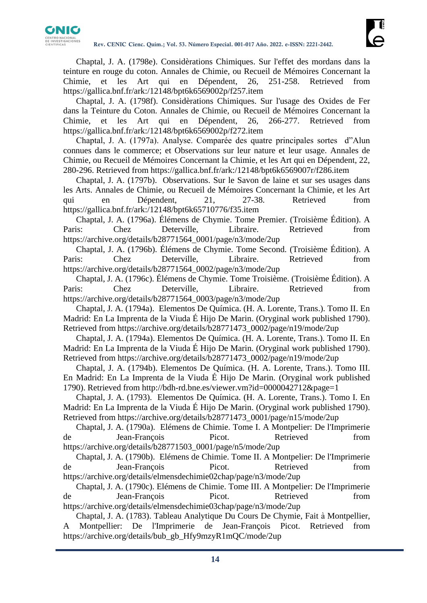

Chaptal, J. A. (1798e). Considèrations Chimiques. Sur l'effet des mordans dans la teinture en rouge du coton. Annales de Chimie, ou Recueil de Mémoires Concernant la Chimie, et les Art qui en Dépendent, 26, 251-258. Retrieved from <https://gallica.bnf.fr/ark:/12148/bpt6k6569002p/f257.item>

Chaptal, J. A. (1798f). Considèrations Chimiques. Sur l'usage des Oxides de Fer dans la Teinture du Coton. Annales de Chimie, ou Recueil de Mémoires Concernant la Chimie, et les Art qui en Dépendent, 26, 266-277. Retrieved from <https://gallica.bnf.fr/ark:/12148/bpt6k6569002p/f272.item>

Chaptal, J. A. (1797a). Analyse. Comparée des quatre principales sortes d"Alun connues dans le commerce; et Observations sur leur nature et leur usage. Annales de Chimie, ou Recueil de Mémoires Concernant la Chimie, et les Art qui en Dépendent, 22, 280-296. Retrieved from<https://gallica.bnf.fr/ark:/12148/bpt6k6569007r/f286.item>

Chaptal, J. A. (1797b). Observations. Sur le Savon de laine et sur ses usages dans les Arts. Annales de Chimie, ou Recueil de Mémoires Concernant la Chimie, et les Art qui en Dépendent, 21, 27-38. Retrieved from <https://gallica.bnf.fr/ark:/12148/bpt6k65710776/f35.item>

Chaptal, J. A. (1796a). Élémens de Chymie. Tome Premier. (Troisième Édition). A Paris: Chez Deterville, Libraire. Retrieved from [https://archive.org/details/b28771564\\_0001/page/n3/mode/2up](https://archive.org/details/b28771564_0001/page/n3/mode/2up)

Chaptal, J. A. (1796b). Élémens de Chymie. Tome Second. (Troisième Édition). A Paris: Chez Deterville, Libraire. Retrieved from [https://archive.org/details/b28771564\\_0002/page/n3/mode/2up](https://archive.org/details/b28771564_0002/page/n3/mode/2up)

Chaptal, J. A. (1796c). Élémens de Chymie. Tome Troisième. (Troisième Édition). A Paris: Chez Deterville, Libraire. Retrieved from [https://archive.org/details/b28771564\\_0003/page/n3/mode/2up](https://archive.org/details/b28771564_0003/page/n3/mode/2up)

Chaptal, J. A. (1794a). Elementos De Química. (H. A. Lorente, Trans.). Tomo II. En Madrid: En La Imprenta de la Viuda É Hijo De Marin. (Oryginal work published 1790). Retrieved from [https://archive.org/details/b28771473\\_0002/page/n19/mode/2up](https://archive.org/details/b28771473_0002/page/n19/mode/2up)

Chaptal, J. A. (1794a). Elementos De Química. (H. A. Lorente, Trans.). Tomo II. En Madrid: En La Imprenta de la Viuda É Hijo De Marin. (Oryginal work published 1790). Retrieved from [https://archive.org/details/b28771473\\_0002/page/n19/mode/2up](https://archive.org/details/b28771473_0002/page/n19/mode/2up)

Chaptal, J. A. (1794b). Elementos De Química. (H. A. Lorente, Trans.). Tomo III. En Madrid: En La Imprenta de la Viuda É Hijo De Marin. (Oryginal work published 1790). Retrieved from<http://bdh-rd.bne.es/viewer.vm?id=0000042712&page=1>

Chaptal, J. A. (1793). Elementos De Química. (H. A. Lorente, Trans.). Tomo I. En Madrid: En La Imprenta de la Viuda É Hijo De Marin. (Oryginal work published 1790). Retrieved from [https://archive.org/details/b28771473\\_0001/page/n15/mode/2up](https://archive.org/details/b28771473_0001/page/n15/mode/2up)

Chaptal, J. A. (1790a). Elémens de Chimie. Tome I. A Montpelier: De l'Imprimerie de Jean-François Picot. Retrieved from https://archive.org/details/b28771503\_0001/page/n5/mode/2up

Chaptal, J. A. (1790b). Elémens de Chimie. Tome II. A Montpelier: De l'Imprimerie de Jean-François Picot. Retrieved from <https://archive.org/details/elmensdechimie02chap/page/n3/mode/2up>

Chaptal, J. A. (1790c). Elémens de Chimie. Tome III. A Montpelier: De l'Imprimerie de Jean-François Picot. Retrieved from <https://archive.org/details/elmensdechimie03chap/page/n3/mode/2up>

Chaptal, J. A. (1783). Tableau Analytique Du Cours De Chymie, Fait à Montpellier, A Montpellier: De l'Imprimerie de Jean-François Picot. Retrieved from [https://archive.org/details/bub\\_gb\\_Hfy9mzyR1mQC/mode/2up](https://archive.org/details/bub_gb_Hfy9mzyR1mQC/mode/2up)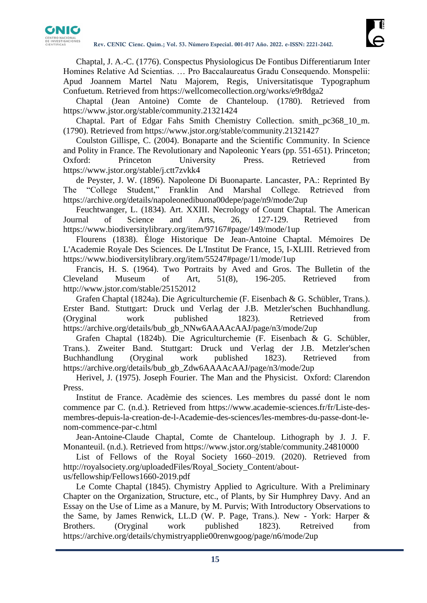

Chaptal, J. A.-C. (1776). Conspectus Physiologicus De Fontibus Differentiarum Inter Homines Relative Ad Scientias. … Pro Baccalaureatus Gradu Consequendo. Monspelii: Apud Joannem Martel Natu Majorem, Regis, Universitatisque Typographum Confuetum. Retrieved from<https://wellcomecollection.org/works/e9r8dga2>

Chaptal (Jean Antoine) Comte de Chanteloup. (1780). Retrieved from <https://www.jstor.org/stable/community.21321424>

Chaptal. Part of Edgar Fahs Smith Chemistry Collection. smith\_pc368\_10\_m. (1790). Retrieved from<https://www.jstor.org/stable/community.21321427>

Coulston Gillispe, C. (2004). Bonaparte and the Scientific Community. In Science and Polity in France. The Revolutionary and Napoleonic Years (pp. 551-651). Princeton; Oxford: Princeton University Press. Retrieved from <https://www.jstor.org/stable/j.ctt7zvkk4>

de Peyster, J. W. (1896). Napoleone Di Buonaparte. Lancaster, PA.: Reprinted By The "College Student," Franklin And Marshal College. Retrieved from <https://archive.org/details/napoleonedibuona00depe/page/n9/mode/2up>

Feuchtwanger, L. (1834). Art. XXIII. Necrology of Count Chaptal. The American Journal of Science and Arts, 26, 127-129. Retrieved from <https://www.biodiversitylibrary.org/item/97167#page/149/mode/1up>

Flourens (1838). Éloge Historique De Jean-Antoine Chaptal. Mémoires De L'Academie Royale Des Sciences. De L'Institut De France, 15, I-XLIII. Retrieved from <https://www.biodiversitylibrary.org/item/55247#page/11/mode/1up>

Francis, H. S. (1964). Two Portraits by Aved and Gros. The Bulletin of the Cleveland Museum of Art, 51(8), 196-205. Retrieved from <http://www.jstor.com/stable/25152012>

Grafen Chaptal (1824a). Die Agriculturchemie (F. Eisenbach & G. Schübler, Trans.). Erster Band. Stuttgart: Druck und Verlag der J.B. Metzler'schen Buchhandlung. (Oryginal work published 1823). Retrieved from [https://archive.org/details/bub\\_gb\\_NNw6AAAAcAAJ/page/n3/mode/2up](https://archive.org/details/bub_gb_NNw6AAAAcAAJ/page/n3/mode/2up)

Grafen Chaptal (1824b). Die Agriculturchemie (F. Eisenbach & G. Schübler, Trans.). Zweiter Band. Stuttgart: Druck und Verlag der J.B. Metzler'schen Buchhandlung (Oryginal work published 1823). Retrieved from [https://archive.org/details/bub\\_gb\\_Zdw6AAAAcAAJ/page/n3/mode/2up](https://archive.org/details/bub_gb_Zdw6AAAAcAAJ/page/n3/mode/2up)

Herivel, J. (1975). Joseph Fourier. The Man and the Physicist. Oxford: Clarendon Press.

Institut de France. Acadèmie des sciences. Les membres du passé dont le nom commence par C. (n.d.). Retrieved from [https://www.academie-sciences.fr/fr/Liste-des](https://www.academie-sciences.fr/fr/Liste-des-membres-depuis-la-creation-de-l-Academie-des-sciences/les-membres-du-passe-dont-le-nom-commence-par-c.html)[membres-depuis-la-creation-de-l-Academie-des-sciences/les-membres-du-passe-dont-le](https://www.academie-sciences.fr/fr/Liste-des-membres-depuis-la-creation-de-l-Academie-des-sciences/les-membres-du-passe-dont-le-nom-commence-par-c.html)[nom-commence-par-c.html](https://www.academie-sciences.fr/fr/Liste-des-membres-depuis-la-creation-de-l-Academie-des-sciences/les-membres-du-passe-dont-le-nom-commence-par-c.html)

Jean-Antoine-Claude Chaptal, Comte de Chanteloup. Lithograph by J. J. F. Monanteuil. (n.d.). Retrieved from<https://www.jstor.org/stable/community.24810000>

List of Fellows of the Royal Society 1660–2019. (2020). Retrieved from [http://royalsociety.org/uploadedFiles/Royal\\_Society\\_Content/about-](http://royalsociety.org/uploadedFiles/Royal_Society_Content/about-us/fellowship/Fellows1660-2019.pdf)

[us/fellowship/Fellows1660-2019.pdf](http://royalsociety.org/uploadedFiles/Royal_Society_Content/about-us/fellowship/Fellows1660-2019.pdf)

Le Comte Chaptal (1845). Chymistry Applied to Agriculture. With a Preliminary Chapter on the Organization, Structure, etc., of Plants, by Sir Humphrey Davy. And an Essay on the Use of Lime as a Manure, by M. Purvis; With Introductory Observations to the Same, by James Renwick, LL.D (W. P. Page, Trans.). New - York: Harper & Brothers. (Oryginal work published 1823). Retreived from <https://archive.org/details/chymistryapplie00renwgoog/page/n6/mode/2up>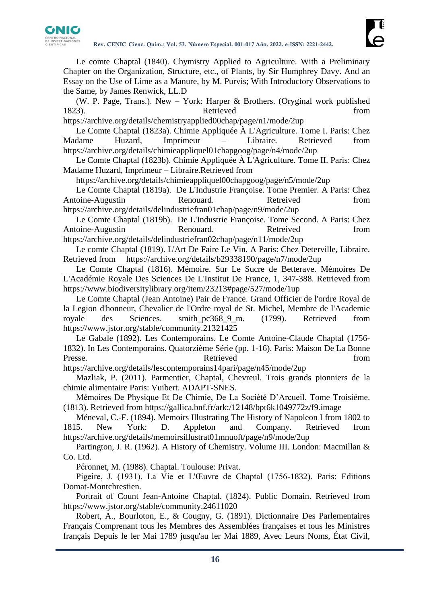

Le comte Chaptal (1840). Chymistry Applied to Agriculture. With a Preliminary Chapter on the Organization, Structure, etc., of Plants, by Sir Humphrey Davy. And an Essay on the Use of Lime as a Manure, by M. Purvis; With Introductory Observations to the Same, by James Renwick, LL.D

(W. P. Page, Trans.). New – York: Harper & Brothers. (Oryginal work published 1823). Retrieved from

<https://archive.org/details/chemistryapplied00chap/page/n1/mode/2up>

Le Comte Chaptal (1823a). Chimie Appliquée À L'Agriculture. Tome I. Paris: Chez Madame Huzard, Imprimeur – Libraire. Retrieved from <https://archive.org/details/chimieappliquel01chapgoog/page/n4/mode/2up>

Le Comte Chaptal (1823b). Chimie Appliquée À L'Agriculture. Tome II. Paris: Chez Madame Huzard, Imprimeur – Libraire.Retrieved from

<https://archive.org/details/chimieappliquel00chapgoog/page/n5/mode/2up>

Le Comte Chaptal (1819a). De L'Industrie Françoise. Tome Premier. A Paris: Chez Antoine-Augustin **Renouard.** Renouard. Retreived from <https://archive.org/details/delindustriefran01chap/page/n9/mode/2up>

Le Comte Chaptal (1819b). De L'Industrie Françoise. Tome Second. A Paris: Chez Antoine-Augustin **Renouard.** Renouard. Retreived from <https://archive.org/details/delindustriefran02chap/page/n11/mode/2up>

Le comte Chaptal (1819). L'Art De Faire Le Vin. A Paris: Chez Deterville, Libraire. Retrieved from <https://archive.org/details/b29338190/page/n7/mode/2up>

Le Comte Chaptal (1816). Mémoire. Sur Le Sucre de Betterave. Mémoires De L'Académie Royale Des Sciences De L'Institut De France, 1, 347-388. Retrieved from <https://www.biodiversitylibrary.org/item/23213#page/527/mode/1up>

Le Comte Chaptal (Jean Antoine) Pair de France. Grand Officier de l'ordre Royal de la Legion d'honneur, Chevalier de l'Ordre royal de St. Michel, Membre de l'Academie royale des Sciences. smith pc368\_9\_m. (1799). Retrieved from <https://www.jstor.org/stable/community.21321425>

Le Gabale (1892). Les Contemporains. Le Comte Antoine-Claude Chaptal (1756- 1832). In Les Contemporains. Quatorzième Série (pp. 1-16). Paris: Maison De La Bonne Presse. Retrieved from Retrieved

<https://archive.org/details/lescontemporains14pari/page/n45/mode/2up>

Mazliak, P. (2011). Parmentier, Chaptal, Chevreul. Trois grands pionniers de la chimie alimentaire Paris: Vuibert. ADAPT-SNES.

Mémoires De Physique Et De Chimie, De La Société D'Arcueil. Tome Troisiéme. (1813). Retrieved from<https://gallica.bnf.fr/ark:/12148/bpt6k1049772z/f9.image>

Méneval, C.-F. (1894). Memoirs Illustrating The History of Napoleon I from 1802 to 1815. New York: D. Appleton and Company. Retrieved from <https://archive.org/details/memoirsillustrat01mnuoft/page/n9/mode/2up>

Partington, J. R. (1962). A History of Chemistry. Volume III. London: Macmillan & Co. Ltd.

Péronnet, M. (1988). Chaptal. Toulouse: Privat.

Pigeire, J. (1931). La Vie et L'Œuvre de Chaptal (1756-1832). Paris: Editions Domat-Montchrestien.

Portrait of Count Jean-Antoine Chaptal. (1824). Public Domain. Retrieved from <https://www.jstor.org/stable/community.24611020>

Robert, A., Bourloton, E., & Cougny, G. (1891). Dictionnaire Des Parlementaires Français Comprenant tous les Membres des Assemblées françaises et tous les Ministres français Depuis le ler Mai 1789 jusqu'au ler Mai 1889, Avec Leurs Noms, État Civil,